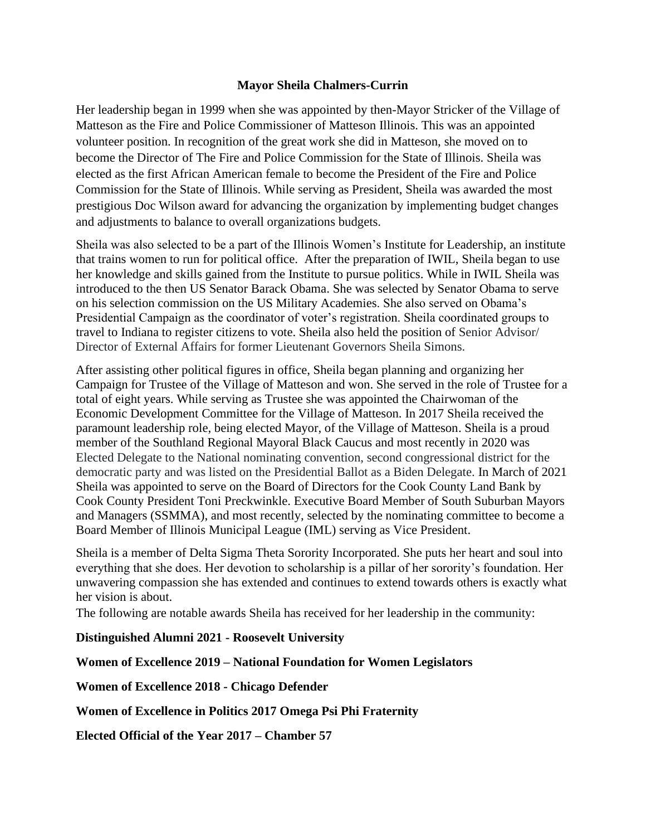## **Mayor Sheila Chalmers-Currin**

Her leadership began in 1999 when she was appointed by then-Mayor Stricker of the Village of Matteson as the Fire and Police Commissioner of Matteson Illinois. This was an appointed volunteer position. In recognition of the great work she did in Matteson, she moved on to become the Director of The Fire and Police Commission for the State of Illinois. Sheila was elected as the first African American female to become the President of the Fire and Police Commission for the State of Illinois. While serving as President, Sheila was awarded the most prestigious Doc Wilson award for advancing the organization by implementing budget changes and adjustments to balance to overall organizations budgets.

Sheila was also selected to be a part of the Illinois Women's Institute for Leadership, an institute that trains women to run for political office. After the preparation of IWIL, Sheila began to use her knowledge and skills gained from the Institute to pursue politics. While in IWIL Sheila was introduced to the then US Senator Barack Obama. She was selected by Senator Obama to serve on his selection commission on the US Military Academies. She also served on Obama's Presidential Campaign as the coordinator of voter's registration. Sheila coordinated groups to travel to Indiana to register citizens to vote. Sheila also held the position of Senior Advisor/ Director of External Affairs for former Lieutenant Governors Sheila Simons.

After assisting other political figures in office, Sheila began planning and organizing her Campaign for Trustee of the Village of Matteson and won. She served in the role of Trustee for a total of eight years. While serving as Trustee she was appointed the Chairwoman of the Economic Development Committee for the Village of Matteson. In 2017 Sheila received the paramount leadership role, being elected Mayor, of the Village of Matteson. Sheila is a proud member of the Southland Regional Mayoral Black Caucus and most recently in 2020 was Elected Delegate to the National nominating convention, second congressional district for the democratic party and was listed on the Presidential Ballot as a Biden Delegate. In March of 2021 Sheila was appointed to serve on the Board of Directors for the Cook County Land Bank by Cook County President Toni Preckwinkle. Executive Board Member of South Suburban Mayors and Managers (SSMMA), and most recently, selected by the nominating committee to become a Board Member of Illinois Municipal League (IML) serving as Vice President.

Sheila is a member of Delta Sigma Theta Sorority Incorporated. She puts her heart and soul into everything that she does. Her devotion to scholarship is a pillar of her sorority's foundation. Her unwavering compassion she has extended and continues to extend towards others is exactly what her vision is about.

The following are notable awards Sheila has received for her leadership in the community:

## **Distinguished Alumni 2021 - Roosevelt University**

## **Women of Excellence 2019 – National Foundation for Women Legislators**

**Women of Excellence 2018 - Chicago Defender**

**Women of Excellence in Politics 2017 Omega Psi Phi Fraternity**

**Elected Official of the Year 2017 – Chamber 57**